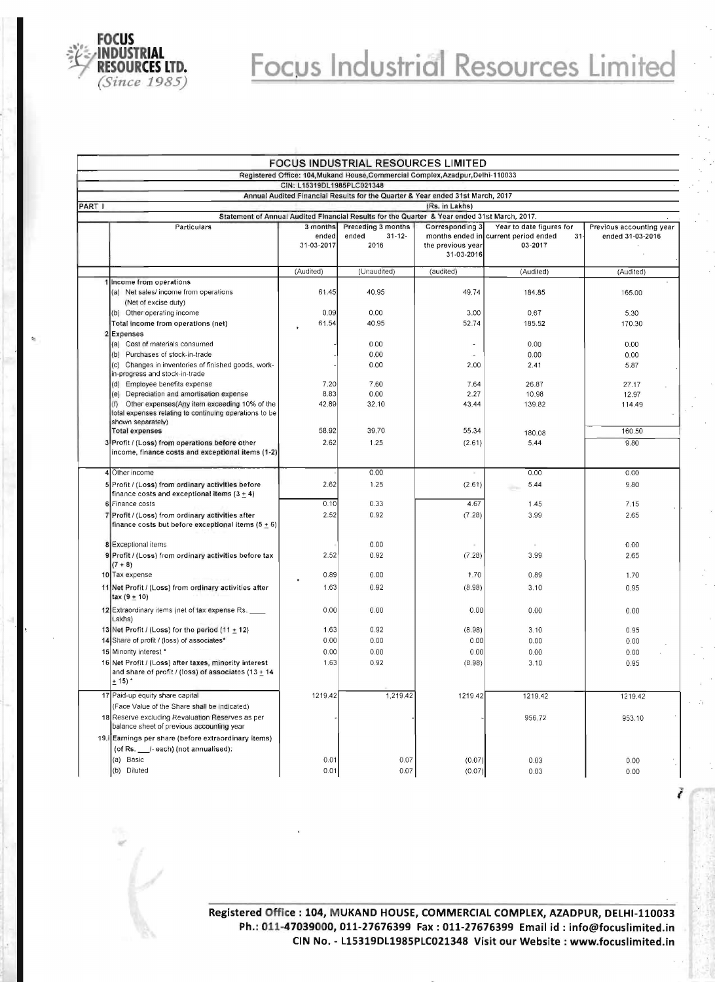

## **Focus Industrial Resources Limited**

|                                                                                              |                                                                                                                                    |                                 | FOCUS INDUSTRIAL RESOURCES LIMITED                                              |                                                    |                                                          |                  |  |  |  |  |
|----------------------------------------------------------------------------------------------|------------------------------------------------------------------------------------------------------------------------------------|---------------------------------|---------------------------------------------------------------------------------|----------------------------------------------------|----------------------------------------------------------|------------------|--|--|--|--|
|                                                                                              |                                                                                                                                    |                                 | Registered Office: 104, Mukand House, Commercial Complex, Azadpur, Delhi-110033 |                                                    |                                                          |                  |  |  |  |  |
|                                                                                              |                                                                                                                                    | CIN: L15319DL1985PLC021348      |                                                                                 |                                                    |                                                          |                  |  |  |  |  |
| PART I                                                                                       |                                                                                                                                    |                                 | Annual Audited Financial Results for the Quarter & Year ended 31st March, 2017  | (Rs. in Lakhs)                                     |                                                          |                  |  |  |  |  |
| Statement of Annual Audited Financial Results for the Quarter & Year ended 31st March, 2017. |                                                                                                                                    |                                 |                                                                                 |                                                    |                                                          |                  |  |  |  |  |
|                                                                                              | Particulars                                                                                                                        |                                 | Preceding 3 months                                                              | Year to date figures for                           | Previous accounting year                                 |                  |  |  |  |  |
|                                                                                              |                                                                                                                                    | 3 months<br>ended<br>31-03-2017 | $31 - 12 -$<br>ended<br>2016                                                    | Corresponding 3<br>the previous year<br>31-03-2016 | months ended in current period ended<br>$31-$<br>03-2017 | ended 31-03-2016 |  |  |  |  |
|                                                                                              |                                                                                                                                    | (Audited)                       | (Unaudited)                                                                     | (audited)                                          | (Audited)                                                | (Audited)        |  |  |  |  |
|                                                                                              | 1 Income from operations<br>(a) Net sales/income from operations                                                                   | 61.45                           | 40.95                                                                           | 49.74                                              | 184.85                                                   | 165.00           |  |  |  |  |
|                                                                                              | (Net of excise duty)                                                                                                               |                                 |                                                                                 |                                                    |                                                          |                  |  |  |  |  |
|                                                                                              | (b) Other operating income                                                                                                         | 0.09                            | 0.00                                                                            | 3.00                                               | 0.67                                                     | 5.30             |  |  |  |  |
|                                                                                              | Total income from operations (net)                                                                                                 | 61.54                           | 40.95                                                                           | 52.74                                              | 185.52                                                   | 170.30           |  |  |  |  |
|                                                                                              | 2 Expenses                                                                                                                         |                                 |                                                                                 |                                                    |                                                          |                  |  |  |  |  |
|                                                                                              | (a) Cost of materials consumed                                                                                                     |                                 | 0.00                                                                            | ×,                                                 | 0.00                                                     | 0.00             |  |  |  |  |
|                                                                                              | (b) Purchases of stock-in-trade                                                                                                    |                                 | 0.00                                                                            |                                                    | 0.00                                                     | 0.00             |  |  |  |  |
|                                                                                              | (c) Changes in inventories of finished goods, work-<br>in-progress and stock-in-trade                                              |                                 | 0.00                                                                            | 2.00                                               | 2.41                                                     | 5.87             |  |  |  |  |
|                                                                                              | (d) Employee benefits expense                                                                                                      | 7.20                            | 7.60                                                                            | 7.64                                               | 26.87                                                    | 27.17            |  |  |  |  |
|                                                                                              | Depreciation and amortisation expense<br>(e)                                                                                       | 8.83                            | 0.00                                                                            | 2.27                                               | 10,98                                                    | 12.97            |  |  |  |  |
|                                                                                              | Other expenses(Any item exceeding 10% of the<br>(f)<br>total expenses relating to continuing operations to be<br>shown separately) | 42.89                           | 32.10                                                                           | 43.44                                              | 139.82                                                   | 114.49           |  |  |  |  |
|                                                                                              | <b>Total expenses</b>                                                                                                              | 58.92                           | 39.70                                                                           | 55.34                                              | 180.08                                                   | 160.50           |  |  |  |  |
|                                                                                              | 3 Profit / (Loss) from operations before other                                                                                     | 2.62                            | 1.25                                                                            | (2.61)                                             | 5.44                                                     | 9.80             |  |  |  |  |
|                                                                                              | income, finance costs and exceptional items (1-2)                                                                                  |                                 |                                                                                 |                                                    |                                                          |                  |  |  |  |  |
|                                                                                              | 4 Other income                                                                                                                     |                                 | 0.00                                                                            |                                                    | 0.00                                                     | 0.00             |  |  |  |  |
|                                                                                              | 5 Profit / (Loss) from ordinary activities before<br>finance costs and exceptional items $(3 + 4)$                                 | 2.62                            | 1.25                                                                            | (2.61)                                             | 5.44                                                     | 9.80             |  |  |  |  |
|                                                                                              | 6 Finance costs                                                                                                                    | 0.10                            | 0.33                                                                            | 4.67                                               | 1.45                                                     | 7.15             |  |  |  |  |
|                                                                                              | 7 Profit / (Loss) from ordinary activities after<br>finance costs but before exceptional items $(5 + 6)$                           | 2.52                            | 0.92                                                                            | (7.28)                                             | 3.99                                                     | 2.65             |  |  |  |  |
|                                                                                              | 8 Exceptional items                                                                                                                |                                 | 0.00                                                                            |                                                    |                                                          | 0.00             |  |  |  |  |
|                                                                                              | 9 Profit / (Loss) from ordinary activities before tax<br>$(7 + 8)$                                                                 | 2.52                            | 0.92                                                                            | (7.28)                                             | 3.99                                                     | 2.65             |  |  |  |  |
|                                                                                              | 10 Tax expense                                                                                                                     | 0.89                            | 0.00                                                                            | 1.70                                               | 0.89                                                     | 1.70             |  |  |  |  |
|                                                                                              | 11 Net Profit / (Loss) from ordinary activities after<br>$\text{tax}(9 \pm 10)$                                                    | 1.63                            | 0.92                                                                            | (8.98)                                             | 3.10                                                     | 0.95             |  |  |  |  |
|                                                                                              | 12 Extraordinary items (net of tax expense Rs.<br>Lakhs)                                                                           | 0.00                            | 0.00                                                                            | 0.00                                               | 0.00                                                     | 0.00             |  |  |  |  |
|                                                                                              | 13 Net Profit / (Loss) for the period (11 + 12)                                                                                    | 1.63                            | 0.92                                                                            | (8.98)                                             | 3.10                                                     | 0.95             |  |  |  |  |
|                                                                                              | 14 Share of profit / (loss) of associates*                                                                                         | 0.00                            | 0.00                                                                            | 0.00                                               | 0.00                                                     | 0.00             |  |  |  |  |
|                                                                                              | 15 Minority interest *                                                                                                             | 0.00                            | 0.00                                                                            | 0.00                                               | 0.00                                                     | 0.00             |  |  |  |  |
|                                                                                              | 16 Net Profit / (Loss) after taxes, minority interest<br>and share of profit / (loss) of associates (13 + 14<br>$+15$              | 1.63                            | 0.92                                                                            | (8.98)                                             | 3.10                                                     | 0.95             |  |  |  |  |
|                                                                                              | 17 Paid-up equity share capital                                                                                                    | 1219.42                         | 1,219.42                                                                        | 1219.42                                            | 1219.42                                                  | 1219.42          |  |  |  |  |
|                                                                                              | (Face Value of the Share shall be indicated)                                                                                       |                                 |                                                                                 |                                                    |                                                          |                  |  |  |  |  |
|                                                                                              | 18 Reserve excluding Revaluation Reserves as per<br>balance sheet of previous accounting year                                      |                                 |                                                                                 |                                                    | 956.72                                                   | 953.10           |  |  |  |  |
|                                                                                              | 19. Earnings per share (before extraordinary items)                                                                                |                                 |                                                                                 |                                                    |                                                          |                  |  |  |  |  |
|                                                                                              | (of Rs. __/-each) (not annualised):                                                                                                |                                 |                                                                                 |                                                    |                                                          |                  |  |  |  |  |
|                                                                                              | (a) Basic                                                                                                                          | 0.01                            | 0.07                                                                            | (0.07)                                             | 0.03                                                     | 0.00             |  |  |  |  |
|                                                                                              | (b) Diluted                                                                                                                        | 0.01                            | 0.07                                                                            | (0.07)                                             | 0.03                                                     | 0.00             |  |  |  |  |

**Registered Office: 104, M UKAND HOUSE, COMMERCIAL COMPLEX, AZADPUR, DELHI-110033 Ph.: 011-47039000, 011-27676399 Fax: 011-27676399 Email id : info@focuslimited.in CIN No. - L15319DL1985PLC021348 Visit our Website: www.focuslimited.in** 

ł